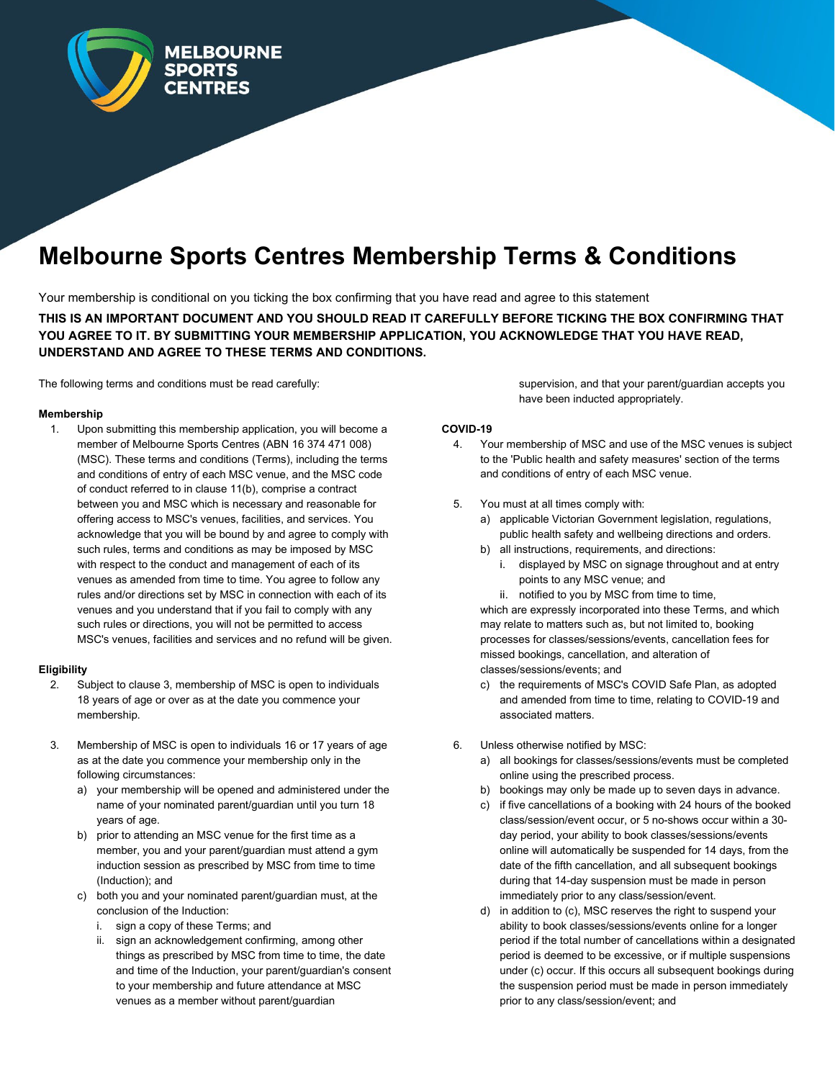

# **Melbourne Sports Centres Membership Terms & Conditions**

Your membership is conditional on you ticking the box confirming that you have read and agree to this statement

**THIS IS AN IMPORTANT DOCUMENT AND YOU SHOULD READ IT CAREFULLY BEFORE TICKING THE BOX CONFIRMING THAT YOU AGREE TO IT. BY SUBMITTING YOUR MEMBERSHIP APPLICATION, YOU ACKNOWLEDGE THAT YOU HAVE READ, UNDERSTAND AND AGREE TO THESE TERMS AND CONDITIONS.**

The following terms and conditions must be read carefully:

### **Membership**

1. Upon submitting this membership application, you will become a member of Melbourne Sports Centres (ABN 16 374 471 008) (MSC). These terms and conditions (Terms), including the terms and conditions of entry of each MSC venue, and the MSC code of conduct referred to in clause 11(b), comprise a contract between you and MSC which is necessary and reasonable for offering access to MSC's venues, facilities, and services. You acknowledge that you will be bound by and agree to comply with such rules, terms and conditions as may be imposed by MSC with respect to the conduct and management of each of its venues as amended from time to time. You agree to follow any rules and/or directions set by MSC in connection with each of its venues and you understand that if you fail to comply with any such rules or directions, you will not be permitted to access MSC's venues, facilities and services and no refund will be given.

# **Eligibility**

- 2. Subject to clause 3, membership of MSC is open to individuals 18 years of age or over as at the date you commence your membership.
- 3. Membership of MSC is open to individuals 16 or 17 years of age as at the date you commence your membership only in the following circumstances:
	- a) your membership will be opened and administered under the name of your nominated parent/guardian until you turn 18 years of age.
	- b) prior to attending an MSC venue for the first time as a member, you and your parent/guardian must attend a gym induction session as prescribed by MSC from time to time (Induction); and
	- c) both you and your nominated parent/guardian must, at the conclusion of the Induction:
		- i. sign a copy of these Terms; and
		- ii. sign an acknowledgement confirming, among other things as prescribed by MSC from time to time, the date and time of the Induction, your parent/guardian's consent to your membership and future attendance at MSC venues as a member without parent/guardian

supervision, and that your parent/guardian accepts you have been inducted appropriately.

## **COVID-19**

- 4. Your membership of MSC and use of the MSC venues is subject to the 'Public health and safety measures' section of the terms and conditions of entry of each MSC venue.
- 5. You must at all times comply with:
	- a) applicable Victorian Government legislation, regulations, public health safety and wellbeing directions and orders.
	- b) all instructions, requirements, and directions:
		- i. displayed by MSC on signage throughout and at entry points to any MSC venue; and
		- ii. notified to you by MSC from time to time,

which are expressly incorporated into these Terms, and which may relate to matters such as, but not limited to, booking processes for classes/sessions/events, cancellation fees for missed bookings, cancellation, and alteration of classes/sessions/events; and

- c) the requirements of MSC's COVID Safe Plan, as adopted and amended from time to time, relating to COVID-19 and associated matters.
- 6. Unless otherwise notified by MSC:
	- a) all bookings for classes/sessions/events must be completed online using the prescribed process.
	- b) bookings may only be made up to seven days in advance.
	- c) if five cancellations of a booking with 24 hours of the booked class/session/event occur, or 5 no-shows occur within a 30 day period, your ability to book classes/sessions/events online will automatically be suspended for 14 days, from the date of the fifth cancellation, and all subsequent bookings during that 14-day suspension must be made in person immediately prior to any class/session/event.
	- d) in addition to (c), MSC reserves the right to suspend your ability to book classes/sessions/events online for a longer period if the total number of cancellations within a designated period is deemed to be excessive, or if multiple suspensions under (c) occur. If this occurs all subsequent bookings during the suspension period must be made in person immediately prior to any class/session/event; and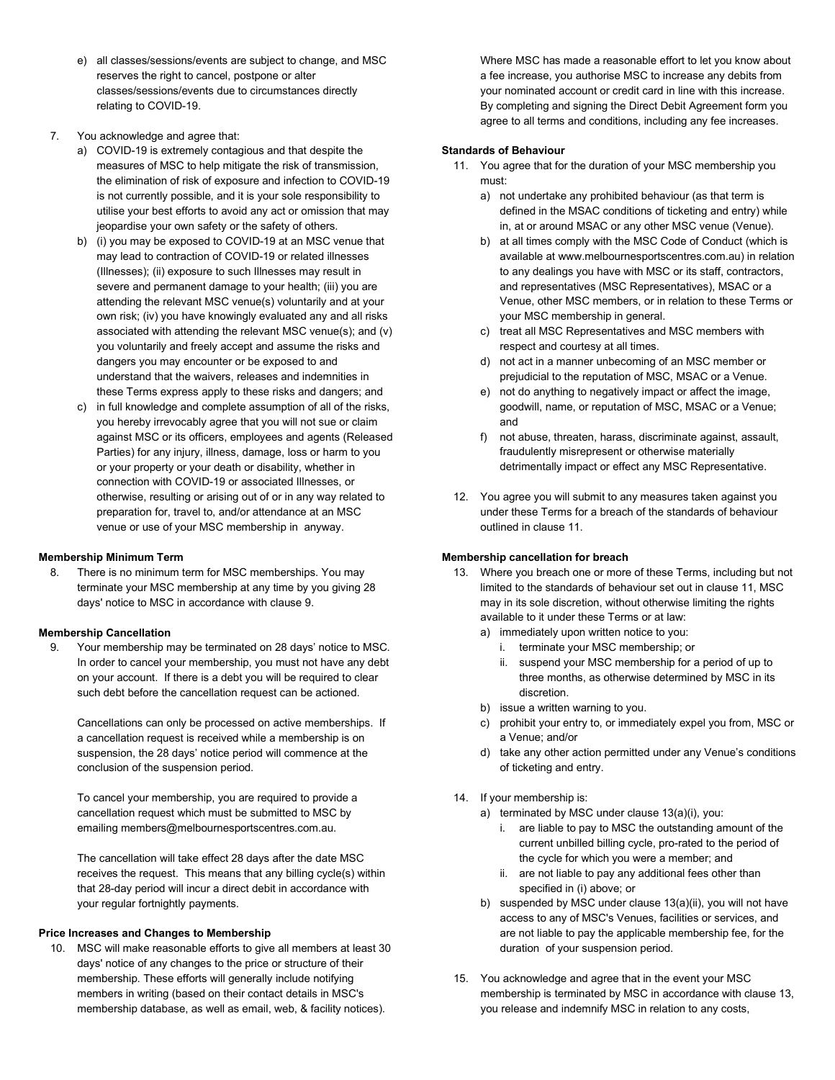- e) all classes/sessions/events are subject to change, and MSC reserves the right to cancel, postpone or alter classes/sessions/events due to circumstances directly relating to COVID-19.
- 7. You acknowledge and agree that:
	- a) COVID-19 is extremely contagious and that despite the measures of MSC to help mitigate the risk of transmission, the elimination of risk of exposure and infection to COVID-19 is not currently possible, and it is your sole responsibility to utilise your best efforts to avoid any act or omission that may jeopardise your own safety or the safety of others.
	- b) (i) you may be exposed to COVID-19 at an MSC venue that may lead to contraction of COVID-19 or related illnesses (Illnesses); (ii) exposure to such Illnesses may result in severe and permanent damage to your health; (iii) you are attending the relevant MSC venue(s) voluntarily and at your own risk; (iv) you have knowingly evaluated any and all risks associated with attending the relevant MSC venue(s); and (v) you voluntarily and freely accept and assume the risks and dangers you may encounter or be exposed to and understand that the waivers, releases and indemnities in these Terms express apply to these risks and dangers; and
	- c) in full knowledge and complete assumption of all of the risks, you hereby irrevocably agree that you will not sue or claim against MSC or its officers, employees and agents (Released Parties) for any injury, illness, damage, loss or harm to you or your property or your death or disability, whether in connection with COVID-19 or associated Illnesses, or otherwise, resulting or arising out of or in any way related to preparation for, travel to, and/or attendance at an MSC venue or use of your MSC membership in anyway.

# **Membership Minimum Term**

8. There is no minimum term for MSC memberships. You may terminate your MSC membership at any time by you giving 28 days' notice to MSC in accordance with clause 9.

### **Membership Cancellation**

9. Your membership may be terminated on 28 days' notice to MSC. In order to cancel your membership, you must not have any debt on your account. If there is a debt you will be required to clear such debt before the cancellation request can be actioned.

Cancellations can only be processed on active memberships. If a cancellation request is received while a membership is on suspension, the 28 days' notice period will commence at the conclusion of the suspension period.

To cancel your membership, you are required to provide a cancellation request which must be submitted to MSC by emailing members@melbournesportscentres.com.au.

The cancellation will take effect 28 days after the date MSC receives the request. This means that any billing cycle(s) within that 28-day period will incur a direct debit in accordance with your regular fortnightly payments.

# **Price Increases and Changes to Membership**

10. MSC will make reasonable efforts to give all members at least 30 days' notice of any changes to the price or structure of their membership. These efforts will generally include notifying members in writing (based on their contact details in MSC's membership database, as well as email, web, & facility notices).

Where MSC has made a reasonable effort to let you know about a fee increase, you authorise MSC to increase any debits from your nominated account or credit card in line with this increase. By completing and signing the Direct Debit Agreement form you agree to all terms and conditions, including any fee increases.

## **Standards of Behaviour**

- 11. You agree that for the duration of your MSC membership you must:
	- a) not undertake any prohibited behaviour (as that term is defined in the MSAC conditions of ticketing and entry) while in, at or around MSAC or any other MSC venue (Venue).
	- b) at all times comply with the MSC Code of Conduct (which is available at www.melbournesportscentres.com.au) in relation to any dealings you have with MSC or its staff, contractors, and representatives (MSC Representatives), MSAC or a Venue, other MSC members, or in relation to these Terms or your MSC membership in general.
	- c) treat all MSC Representatives and MSC members with respect and courtesy at all times.
	- d) not act in a manner unbecoming of an MSC member or prejudicial to the reputation of MSC, MSAC or a Venue.
	- e) not do anything to negatively impact or affect the image, goodwill, name, or reputation of MSC, MSAC or a Venue; and
	- f) not abuse, threaten, harass, discriminate against, assault, fraudulently misrepresent or otherwise materially detrimentally impact or effect any MSC Representative.
- 12. You agree you will submit to any measures taken against you under these Terms for a breach of the standards of behaviour outlined in clause 11.

# **Membership cancellation for breach**

- 13. Where you breach one or more of these Terms, including but not limited to the standards of behaviour set out in clause 11, MSC may in its sole discretion, without otherwise limiting the rights available to it under these Terms or at law:
	- a) immediately upon written notice to you:
		- i. terminate your MSC membership; or
		- ii. suspend your MSC membership for a period of up to three months, as otherwise determined by MSC in its discretion.
	- b) issue a written warning to you.
	- c) prohibit your entry to, or immediately expel you from, MSC or a Venue; and/or
	- d) take any other action permitted under any Venue's conditions of ticketing and entry.
- 14. If your membership is:
	- a) terminated by MSC under clause 13(a)(i), you:
		- i. are liable to pay to MSC the outstanding amount of the current unbilled billing cycle, pro-rated to the period of the cycle for which you were a member; and
		- ii. are not liable to pay any additional fees other than specified in (i) above; or
	- b) suspended by MSC under clause 13(a)(ii), you will not have access to any of MSC's Venues, facilities or services, and are not liable to pay the applicable membership fee, for the duration of your suspension period.
- 15. You acknowledge and agree that in the event your MSC membership is terminated by MSC in accordance with clause 13, you release and indemnify MSC in relation to any costs,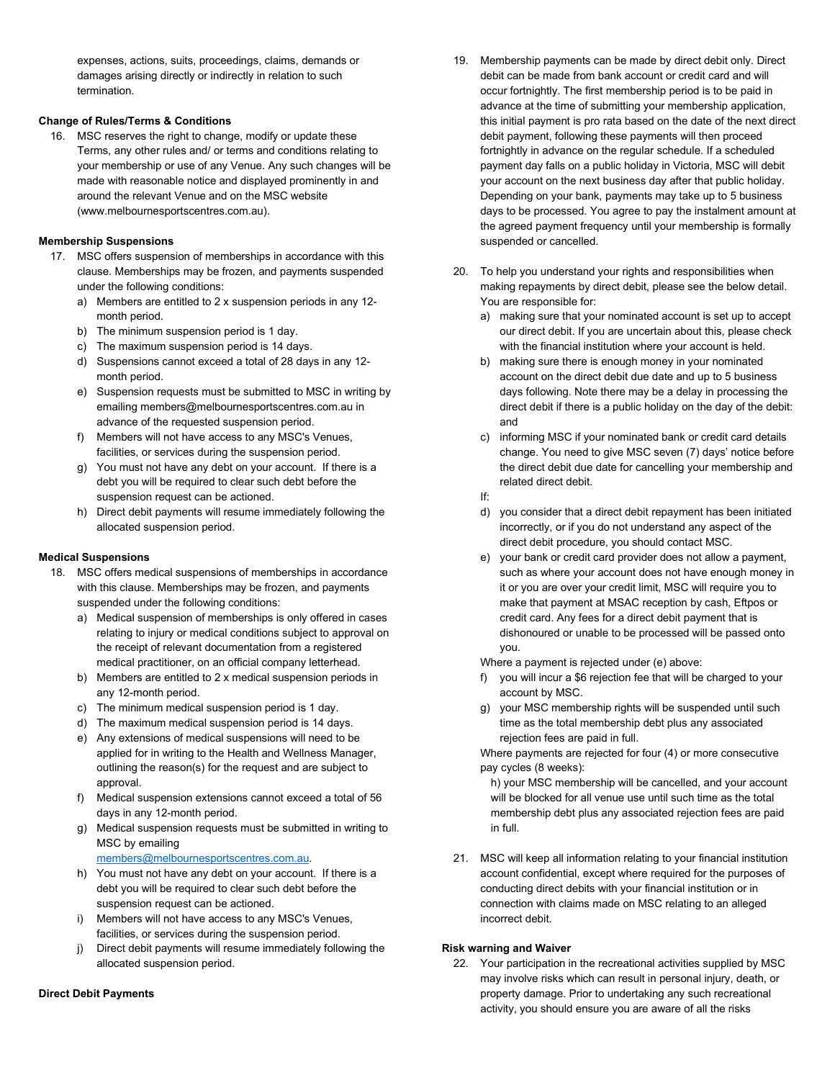expenses, actions, suits, proceedings, claims, demands or damages arising directly or indirectly in relation to such termination.

# **Change of Rules/Terms & Conditions**

16. MSC reserves the right to change, modify or update these Terms, any other rules and/ or terms and conditions relating to your membership or use of any Venue. Any such changes will be made with reasonable notice and displayed prominently in and around the relevant Venue and on the MSC website (www.melbournesportscentres.com.au).

# **Membership Suspensions**

- 17. MSC offers suspension of memberships in accordance with this clause. Memberships may be frozen, and payments suspended under the following conditions:
	- a) Members are entitled to 2 x suspension periods in any 12 month period.
	- b) The minimum suspension period is 1 day.
	- c) The maximum suspension period is 14 days.
	- d) Suspensions cannot exceed a total of 28 days in any 12 month period.
	- e) Suspension requests must be submitted to MSC in writing by emailing [members@melbournesportscentres.com.au](mailto:members@melbournesportscentres.com.au) in advance of the requested suspension period.
	- f) Members will not have access to any MSC's Venues, facilities, or services during the suspension period.
	- g) You must not have any debt on your account. If there is a debt you will be required to clear such debt before the suspension request can be actioned.
	- h) Direct debit payments will resume immediately following the allocated suspension period.

### **Medical Suspensions**

- 18. MSC offers medical suspensions of memberships in accordance with this clause. Memberships may be frozen, and payments suspended under the following conditions:
	- a) Medical suspension of memberships is only offered in cases relating to injury or medical conditions subject to approval on the receipt of relevant documentation from a registered medical practitioner, on an official company letterhead.
	- b) Members are entitled to 2 x medical suspension periods in any 12-month period.
	- c) The minimum medical suspension period is 1 day.
	- d) The maximum medical suspension period is 14 days.
	- e) Any extensions of medical suspensions will need to be applied for in writing to the Health and Wellness Manager, outlining the reason(s) for the request and are subject to approval.
	- f) Medical suspension extensions cannot exceed a total of 56 days in any 12-month period.
	- g) Medical suspension requests must be submitted in writing to MSC by emailing

[members@melbournesportscentres.com.au.](mailto:members@melbournesportscentres.com.au) 

- h) You must not have any debt on your account. If there is a debt you will be required to clear such debt before the suspension request can be actioned.
- i) Members will not have access to any MSC's Venues, facilities, or services during the suspension period.
- j) Direct debit payments will resume immediately following the allocated suspension period.

### **Direct Debit Payments**

- 19. Membership payments can be made by direct debit only. Direct debit can be made from bank account or credit card and will occur fortnightly. The first membership period is to be paid in advance at the time of submitting your membership application, this initial payment is pro rata based on the date of the next direct debit payment, following these payments will then proceed fortnightly in advance on the regular schedule. If a scheduled payment day falls on a public holiday in Victoria, MSC will debit your account on the next business day after that public holiday. Depending on your bank, payments may take up to 5 business days to be processed. You agree to pay the instalment amount at the agreed payment frequency until your membership is formally suspended or cancelled.
- 20. To help you understand your rights and responsibilities when making repayments by direct debit, please see the below detail. You are responsible for:
	- a) making sure that your nominated account is set up to accept our direct debit. If you are uncertain about this, please check with the financial institution where your account is held.
	- b) making sure there is enough money in your nominated account on the direct debit due date and up to 5 business days following. Note there may be a delay in processing the direct debit if there is a public holiday on the day of the debit: and
	- c) informing MSC if your nominated bank or credit card details change. You need to give MSC seven (7) days' notice before the direct debit due date for cancelling your membership and related direct debit.
	- If:
	- d) you consider that a direct debit repayment has been initiated incorrectly, or if you do not understand any aspect of the direct debit procedure, you should contact MSC.
	- e) your bank or credit card provider does not allow a payment, such as where your account does not have enough money in it or you are over your credit limit, MSC will require you to make that payment at MSAC reception by cash, Eftpos or credit card. Any fees for a direct debit payment that is dishonoured or unable to be processed will be passed onto you.

Where a payment is rejected under (e) above:

- f) you will incur a \$6 rejection fee that will be charged to your account by MSC.
- g) your MSC membership rights will be suspended until such time as the total membership debt plus any associated rejection fees are paid in full.

Where payments are rejected for four (4) or more consecutive pay cycles (8 weeks):

h) your MSC membership will be cancelled, and your account will be blocked for all venue use until such time as the total membership debt plus any associated rejection fees are paid in full.

21. MSC will keep all information relating to your financial institution account confidential, except where required for the purposes of conducting direct debits with your financial institution or in connection with claims made on MSC relating to an alleged incorrect debit.

# **Risk warning and Waiver**

22. Your participation in the recreational activities supplied by MSC may involve risks which can result in personal injury, death, or property damage. Prior to undertaking any such recreational activity, you should ensure you are aware of all the risks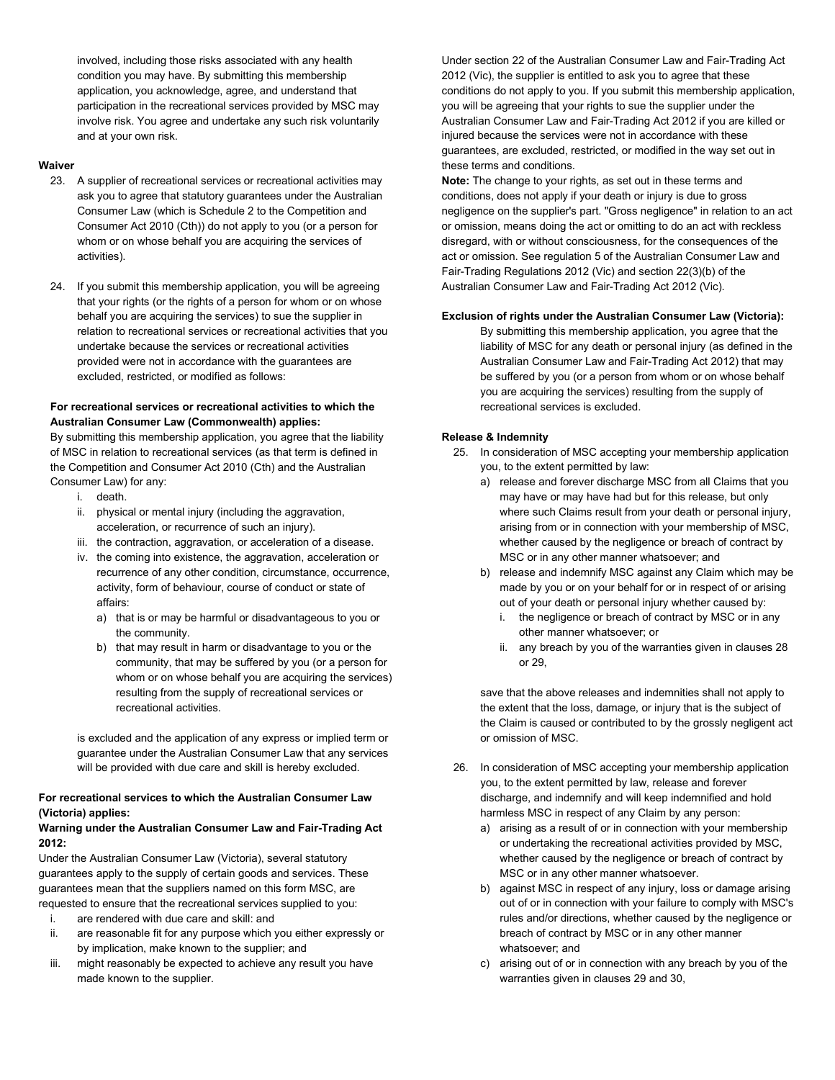involved, including those risks associated with any health condition you may have. By submitting this membership application, you acknowledge, agree, and understand that participation in the recreational services provided by MSC may involve risk. You agree and undertake any such risk voluntarily and at your own risk.

# **Waiver**

- 23. A supplier of recreational services or recreational activities may ask you to agree that statutory guarantees under the Australian Consumer Law (which is Schedule 2 to the Competition and Consumer Act 2010 (Cth)) do not apply to you (or a person for whom or on whose behalf you are acquiring the services of activities).
- 24. If you submit this membership application, you will be agreeing that your rights (or the rights of a person for whom or on whose behalf you are acquiring the services) to sue the supplier in relation to recreational services or recreational activities that you undertake because the services or recreational activities provided were not in accordance with the guarantees are excluded, restricted, or modified as follows:

# **For recreational services or recreational activities to which the Australian Consumer Law (Commonwealth) applies:**

By submitting this membership application, you agree that the liability of MSC in relation to recreational services (as that term is defined in the Competition and Consumer Act 2010 (Cth) and the Australian Consumer Law) for any:

- i. death.
- ii. physical or mental injury (including the aggravation, acceleration, or recurrence of such an injury).
- iii. the contraction, aggravation, or acceleration of a disease.
- iv. the coming into existence, the aggravation, acceleration or recurrence of any other condition, circumstance, occurrence, activity, form of behaviour, course of conduct or state of affairs:
	- a) that is or may be harmful or disadvantageous to you or the community.
	- b) that may result in harm or disadvantage to you or the community, that may be suffered by you (or a person for whom or on whose behalf you are acquiring the services) resulting from the supply of recreational services or recreational activities.

is excluded and the application of any express or implied term or guarantee under the Australian Consumer Law that any services will be provided with due care and skill is hereby excluded.

# **For recreational services to which the Australian Consumer Law (Victoria) applies:**

# **Warning under the Australian Consumer Law and Fair-Trading Act 2012:**

Under the Australian Consumer Law (Victoria), several statutory guarantees apply to the supply of certain goods and services. These guarantees mean that the suppliers named on this form MSC, are requested to ensure that the recreational services supplied to you:

- i. are rendered with due care and skill: and
- ii. are reasonable fit for any purpose which you either expressly or by implication, make known to the supplier; and
- iii. might reasonably be expected to achieve any result you have made known to the supplier.

Under section 22 of the Australian Consumer Law and Fair-Trading Act 2012 (Vic), the supplier is entitled to ask you to agree that these conditions do not apply to you. If you submit this membership application, you will be agreeing that your rights to sue the supplier under the Australian Consumer Law and Fair-Trading Act 2012 if you are killed or injured because the services were not in accordance with these guarantees, are excluded, restricted, or modified in the way set out in these terms and conditions.

**Note:** The change to your rights, as set out in these terms and conditions, does not apply if your death or injury is due to gross negligence on the supplier's part. "Gross negligence" in relation to an act or omission, means doing the act or omitting to do an act with reckless disregard, with or without consciousness, for the consequences of the act or omission. See regulation 5 of the Australian Consumer Law and Fair-Trading Regulations 2012 (Vic) and section 22(3)(b) of the Australian Consumer Law and Fair-Trading Act 2012 (Vic).

# **Exclusion of rights under the Australian Consumer Law (Victoria):**

By submitting this membership application, you agree that the liability of MSC for any death or personal injury (as defined in the Australian Consumer Law and Fair-Trading Act 2012) that may be suffered by you (or a person from whom or on whose behalf you are acquiring the services) resulting from the supply of recreational services is excluded.

## **Release & Indemnity**

- 25. In consideration of MSC accepting your membership application you, to the extent permitted by law:
	- a) release and forever discharge MSC from all Claims that you may have or may have had but for this release, but only where such Claims result from your death or personal injury, arising from or in connection with your membership of MSC, whether caused by the negligence or breach of contract by MSC or in any other manner whatsoever; and
	- b) release and indemnify MSC against any Claim which may be made by you or on your behalf for or in respect of or arising out of your death or personal injury whether caused by:
		- i. the negligence or breach of contract by MSC or in any other manner whatsoever; or
		- ii. any breach by you of the warranties given in clauses 28 or 29,

save that the above releases and indemnities shall not apply to the extent that the loss, damage, or injury that is the subject of the Claim is caused or contributed to by the grossly negligent act or omission of MSC.

- 26. In consideration of MSC accepting your membership application you, to the extent permitted by law, release and forever discharge, and indemnify and will keep indemnified and hold harmless MSC in respect of any Claim by any person:
	- a) arising as a result of or in connection with your membership or undertaking the recreational activities provided by MSC, whether caused by the negligence or breach of contract by MSC or in any other manner whatsoever.
	- b) against MSC in respect of any injury, loss or damage arising out of or in connection with your failure to comply with MSC's rules and/or directions, whether caused by the negligence or breach of contract by MSC or in any other manner whatsoever; and
	- c) arising out of or in connection with any breach by you of the warranties given in clauses 29 and 30,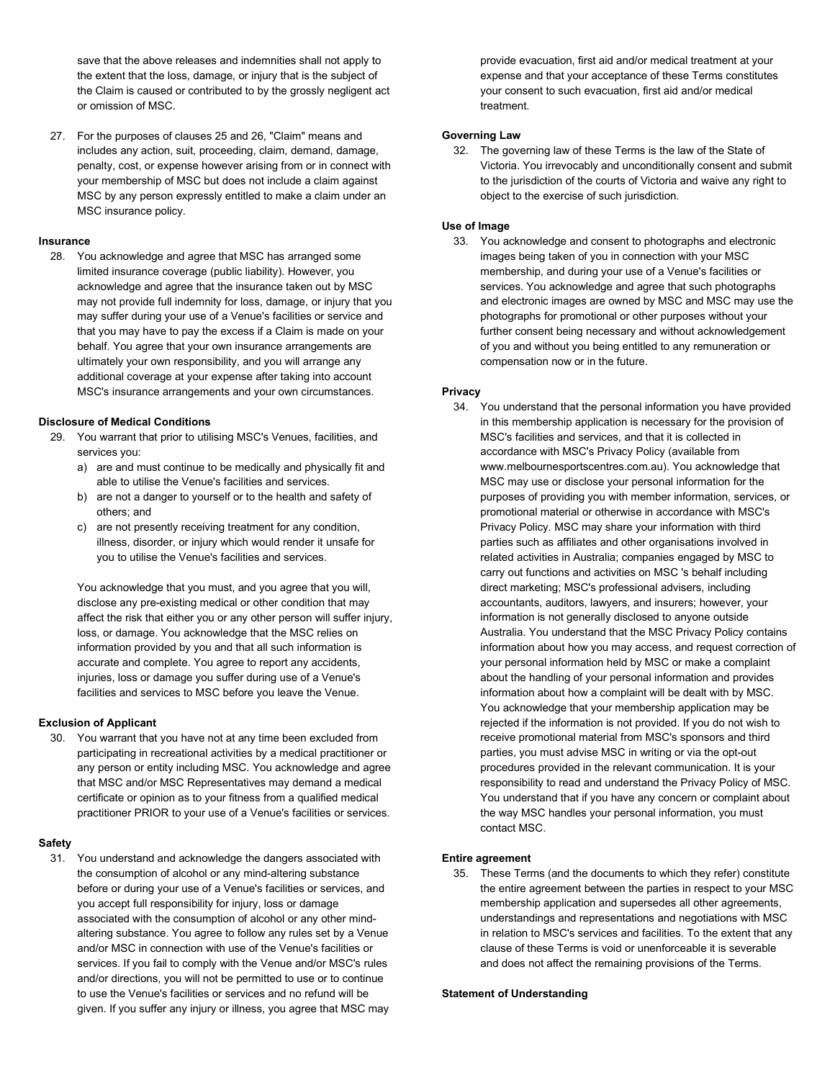save that the above releases and indemnities shall not apply to the extent that the loss, damage, or injury that is the subject of the Claim is caused or contributed to by the grossly negligent act or omission of MSC.

27. For the purposes of clauses 25 and 26, "Claim" means and includes any action, suit, proceeding, claim, demand, damage, penalty, cost, or expense however arising from or in connect with your membership of MSC but does not include a claim against MSC by any person expressly entitled to make a claim under an MSC insurance policy.

### **Insurance**

28. You acknowledge and agree that MSC has arranged some limited insurance coverage (public liability). However, you acknowledge and agree that the insurance taken out by MSC may not provide full indemnity for loss, damage, or injury that you may suffer during your use of a Venue's facilities or service and that you may have to pay the excess if a Claim is made on your behalf. You agree that your own insurance arrangements are ultimately your own responsibility, and you will arrange any additional coverage at your expense after taking into account MSC's insurance arrangements and your own circumstances.

## **Disclosure of Medical Conditions**

- 29. You warrant that prior to utilising MSC's Venues, facilities, and services you:
	- a) are and must continue to be medically and physically fit and able to utilise the Venue's facilities and services.
	- b) are not a danger to yourself or to the health and safety of others; and
	- c) are not presently receiving treatment for any condition, illness, disorder, or injury which would render it unsafe for you to utilise the Venue's facilities and services.

You acknowledge that you must, and you agree that you will, disclose any pre-existing medical or other condition that may affect the risk that either you or any other person will suffer injury, loss, or damage. You acknowledge that the MSC relies on information provided by you and that all such information is accurate and complete. You agree to report any accidents, injuries, loss or damage you suffer during use of a Venue's facilities and services to MSC before you leave the Venue.

### **Exclusion of Applicant**

30. You warrant that you have not at any time been excluded from participating in recreational activities by a medical practitioner or any person or entity including MSC. You acknowledge and agree that MSC and/or MSC Representatives may demand a medical certificate or opinion as to your fitness from a qualified medical practitioner PRIOR to your use of a Venue's facilities or services.

### **Safety**

31. You understand and acknowledge the dangers associated with the consumption of alcohol or any mind-altering substance before or during your use of a Venue's facilities or services, and you accept full responsibility for injury, loss or damage associated with the consumption of alcohol or any other mindaltering substance. You agree to follow any rules set by a Venue and/or MSC in connection with use of the Venue's facilities or services. If you fail to comply with the Venue and/or MSC's rules and/or directions, you will not be permitted to use or to continue to use the Venue's facilities or services and no refund will be given. If you suffer any injury or illness, you agree that MSC may

provide evacuation, first aid and/or medical treatment at your expense and that your acceptance of these Terms constitutes your consent to such evacuation, first aid and/or medical treatment.

### **Governing Law**

32. The governing law of these Terms is the law of the State of Victoria. You irrevocably and unconditionally consent and submit to the jurisdiction of the courts of Victoria and waive any right to object to the exercise of such jurisdiction.

### **Use of Image**

33. You acknowledge and consent to photographs and electronic images being taken of you in connection with your MSC membership, and during your use of a Venue's facilities or services. You acknowledge and agree that such photographs and electronic images are owned by MSC and MSC may use the photographs for promotional or other purposes without your further consent being necessary and without acknowledgement of you and without you being entitled to any remuneration or compensation now or in the future.

### **Privacy**

34. You understand that the personal information you have provided in this membership application is necessary for the provision of MSC's facilities and services, and that it is collected in accordance with MSC's Privacy Policy (available from www.melbournesportscentres.com.au). You acknowledge that MSC may use or disclose your personal information for the purposes of providing you with member information, services, or promotional material or otherwise in accordance with MSC's Privacy Policy. MSC may share your information with third parties such as affiliates and other organisations involved in related activities in Australia; companies engaged by MSC to carry out functions and activities on MSC 's behalf including direct marketing; MSC's professional advisers, including accountants, auditors, lawyers, and insurers; however, your information is not generally disclosed to anyone outside Australia. You understand that the MSC Privacy Policy contains information about how you may access, and request correction of your personal information held by MSC or make a complaint about the handling of your personal information and provides information about how a complaint will be dealt with by MSC. You acknowledge that your membership application may be rejected if the information is not provided. If you do not wish to receive promotional material from MSC's sponsors and third parties, you must advise MSC in writing or via the opt-out procedures provided in the relevant communication. It is your responsibility to read and understand the Privacy Policy of MSC. You understand that if you have any concern or complaint about the way MSC handles your personal information, you must contact MSC.

### **Entire agreement**

35. These Terms (and the documents to which they refer) constitute the entire agreement between the parties in respect to your MSC membership application and supersedes all other agreements, understandings and representations and negotiations with MSC in relation to MSC's services and facilities. To the extent that any clause of these Terms is void or unenforceable it is severable and does not affect the remaining provisions of the Terms.

### **Statement of Understanding**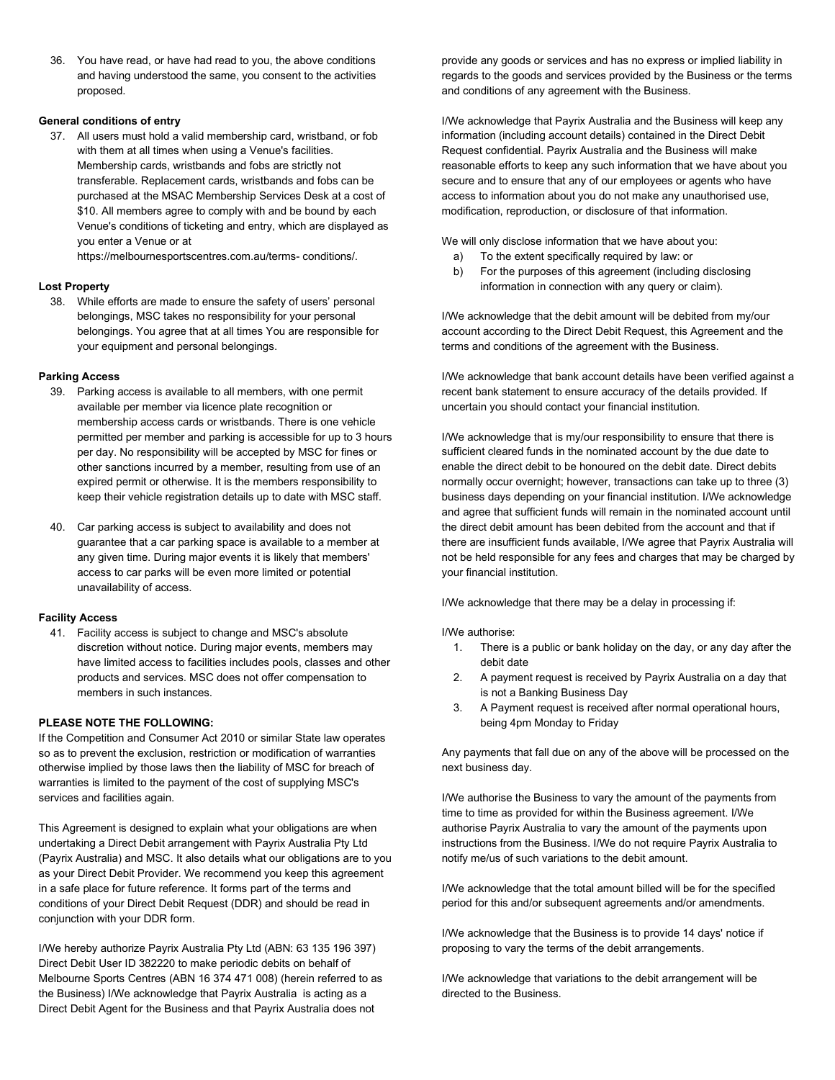36. You have read, or have had read to you, the above conditions and having understood the same, you consent to the activities proposed.

# **General conditions of entry**

37. All users must hold a valid membership card, wristband, or fob with them at all times when using a Venue's facilities. Membership cards, wristbands and fobs are strictly not transferable. Replacement cards, wristbands and fobs can be purchased at the MSAC Membership Services Desk at a cost of \$10. All members agree to comply with and be bound by each Venue's conditions of ticketing and entry, which are displayed as you enter a Venue or at

https://melbournesportscentres.com.au/terms- conditions/.

### **Lost Property**

38. While efforts are made to ensure the safety of users' personal belongings, MSC takes no responsibility for your personal belongings. You agree that at all times You are responsible for your equipment and personal belongings.

### **Parking Access**

- 39. Parking access is available to all members, with one permit available per member via licence plate recognition or membership access cards or wristbands. There is one vehicle permitted per member and parking is accessible for up to 3 hours per day. No responsibility will be accepted by MSC for fines or other sanctions incurred by a member, resulting from use of an expired permit or otherwise. It is the members responsibility to keep their vehicle registration details up to date with MSC staff.
- 40. Car parking access is subject to availability and does not guarantee that a car parking space is available to a member at any given time. During major events it is likely that members' access to car parks will be even more limited or potential unavailability of access.

### **Facility Access**

41. Facility access is subject to change and MSC's absolute discretion without notice. During major events, members may have limited access to facilities includes pools, classes and other products and services. MSC does not offer compensation to members in such instances.

# **PLEASE NOTE THE FOLLOWING:**

If the Competition and Consumer Act 2010 or similar State law operates so as to prevent the exclusion, restriction or modification of warranties otherwise implied by those laws then the liability of MSC for breach of warranties is limited to the payment of the cost of supplying MSC's services and facilities again.

This Agreement is designed to explain what your obligations are when undertaking a Direct Debit arrangement with Payrix Australia Pty Ltd (Payrix Australia) and MSC. It also details what our obligations are to you as your Direct Debit Provider. We recommend you keep this agreement in a safe place for future reference. It forms part of the terms and conditions of your Direct Debit Request (DDR) and should be read in conjunction with your DDR form.

I/We hereby authorize Payrix Australia Pty Ltd (ABN: 63 135 196 397) Direct Debit User ID 382220 to make periodic debits on behalf of Melbourne Sports Centres (ABN 16 374 471 008) (herein referred to as the Business) I/We acknowledge that Payrix Australia is acting as a Direct Debit Agent for the Business and that Payrix Australia does not

provide any goods or services and has no express or implied liability in regards to the goods and services provided by the Business or the terms and conditions of any agreement with the Business.

I/We acknowledge that Payrix Australia and the Business will keep any information (including account details) contained in the Direct Debit Request confidential. Payrix Australia and the Business will make reasonable efforts to keep any such information that we have about you secure and to ensure that any of our employees or agents who have access to information about you do not make any unauthorised use, modification, reproduction, or disclosure of that information.

We will only disclose information that we have about you:

- a) To the extent specifically required by law: or
- b) For the purposes of this agreement (including disclosing information in connection with any query or claim).

I/We acknowledge that the debit amount will be debited from my/our account according to the Direct Debit Request, this Agreement and the terms and conditions of the agreement with the Business.

I/We acknowledge that bank account details have been verified against a recent bank statement to ensure accuracy of the details provided. If uncertain you should contact your financial institution.

I/We acknowledge that is my/our responsibility to ensure that there is sufficient cleared funds in the nominated account by the due date to enable the direct debit to be honoured on the debit date. Direct debits normally occur overnight; however, transactions can take up to three (3) business days depending on your financial institution. I/We acknowledge and agree that sufficient funds will remain in the nominated account until the direct debit amount has been debited from the account and that if there are insufficient funds available, I/We agree that Payrix Australia will not be held responsible for any fees and charges that may be charged by your financial institution.

I/We acknowledge that there may be a delay in processing if:

I/We authorise:

- 1. There is a public or bank holiday on the day, or any day after the debit date
- 2. A payment request is received by Payrix Australia on a day that is not a Banking Business Day
- 3. A Payment request is received after normal operational hours, being 4pm Monday to Friday

Any payments that fall due on any of the above will be processed on the next business day.

I/We authorise the Business to vary the amount of the payments from time to time as provided for within the Business agreement. I/We authorise Payrix Australia to vary the amount of the payments upon instructions from the Business. I/We do not require Payrix Australia to notify me/us of such variations to the debit amount.

I/We acknowledge that the total amount billed will be for the specified period for this and/or subsequent agreements and/or amendments.

I/We acknowledge that the Business is to provide 14 days' notice if proposing to vary the terms of the debit arrangements.

I/We acknowledge that variations to the debit arrangement will be directed to the Business.